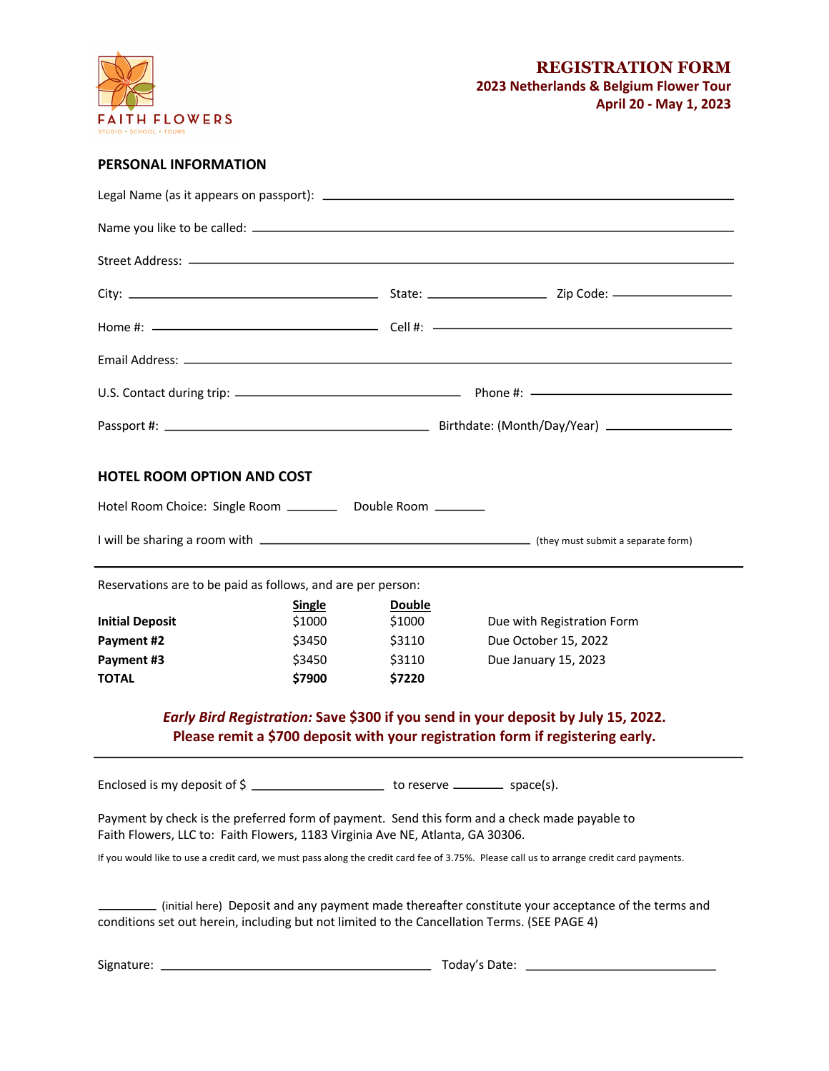

# **PERSONAL INFORMATION**

| <b>HOTEL ROOM OPTION AND COST</b><br>Hotel Room Choice: Single Room ___________ Double Room _______                                                                                                             |                                                       |                                                       |                                                                                               |
|-----------------------------------------------------------------------------------------------------------------------------------------------------------------------------------------------------------------|-------------------------------------------------------|-------------------------------------------------------|-----------------------------------------------------------------------------------------------|
|                                                                                                                                                                                                                 |                                                       |                                                       |                                                                                               |
| Reservations are to be paid as follows, and are per person:                                                                                                                                                     |                                                       |                                                       |                                                                                               |
| <b>Initial Deposit</b><br>Payment #2<br>Payment #3<br><b>TOTAL</b>                                                                                                                                              | <b>Single</b><br>\$1000<br>\$3450<br>\$3450<br>\$7900 | <b>Double</b><br>\$1000<br>\$3110<br>\$3110<br>\$7220 | Due with Registration Form<br>Due October 15, 2022<br>Due January 15, 2023                    |
| Early Bird Registration: Save \$300 if you send in your deposit by July 15, 2022.<br>Please remit a \$700 deposit with your registration form if registering early.                                             |                                                       |                                                       |                                                                                               |
| Enclosed is my deposit of \$                                                                                                                                                                                    |                                                       |                                                       | $\frac{1}{\sqrt{2}}$ to reserve $\frac{1}{\sqrt{2}}$ space(s).                                |
| Faith Flowers, LLC to: Faith Flowers, 1183 Virginia Ave NE, Atlanta, GA 30306.                                                                                                                                  |                                                       |                                                       | Payment by check is the preferred form of payment. Send this form and a check made payable to |
| If you would like to use a credit card, we must pass along the credit card fee of 3.75%. Please call us to arrange credit card payments.                                                                        |                                                       |                                                       |                                                                                               |
| initial here) Deposit and any payment made thereafter constitute your acceptance of the terms and (initial here<br>conditions set out herein, including but not limited to the Cancellation Terms. (SEE PAGE 4) |                                                       |                                                       |                                                                                               |
|                                                                                                                                                                                                                 |                                                       |                                                       |                                                                                               |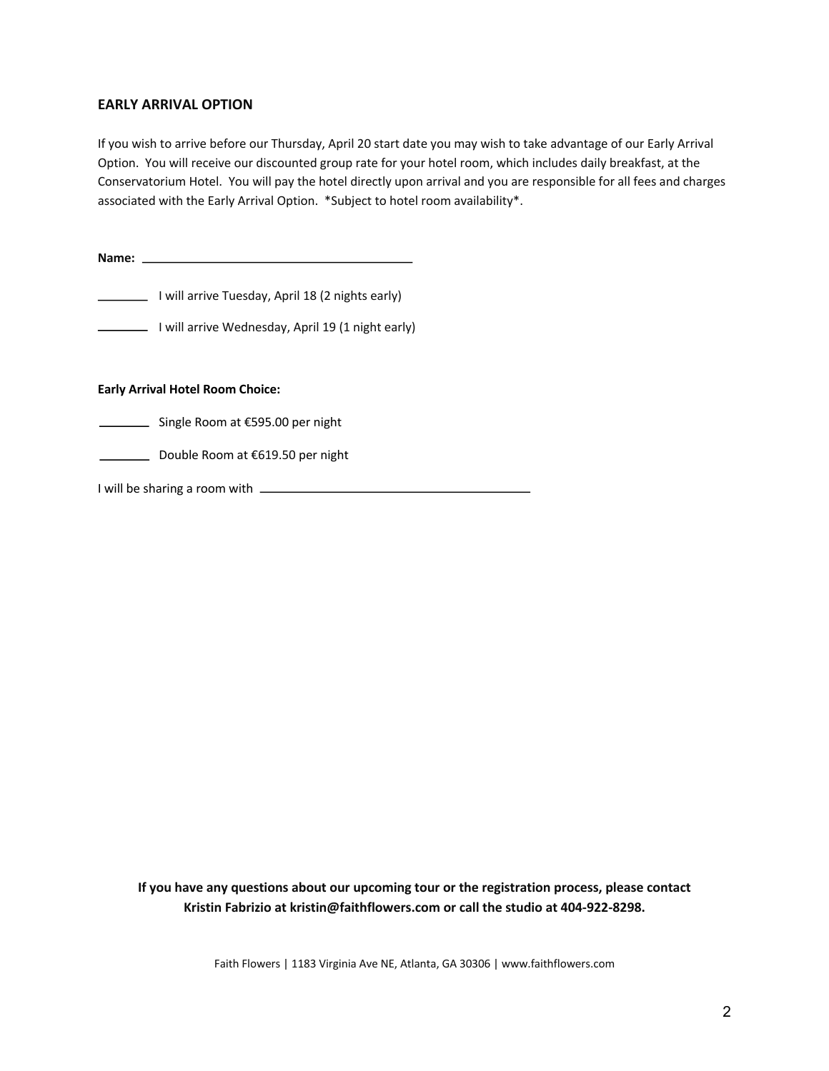## **EARLY ARRIVAL OPTION**

If you wish to arrive before our Thursday, April 20 start date you may wish to take advantage of our Early Arrival Option. You will receive our discounted group rate for your hotel room, which includes daily breakfast, at the Conservatorium Hotel. You will pay the hotel directly upon arrival and you are responsible for all fees and charges associated with the Early Arrival Option. \*Subject to hotel room availability\*.

**Name:** 

I will arrive Tuesday, April 18 (2 nights early)

I will arrive Wednesday, April 19 (1 night early)

**Early Arrival Hotel Room Choice:** 

Single Room at €595.00 per night

Double Room at €619.50 per night

I will be sharing a room with  $\overline{\phantom{a}}$ 

**If you have any questions about our upcoming tour or the registration process, please contact Kristin Fabrizio at kristin@faithflowers.com or call the studio at 404-922-8298.**

Faith Flowers | 1183 Virginia Ave NE, Atlanta, GA 30306 | www.faithflowers.com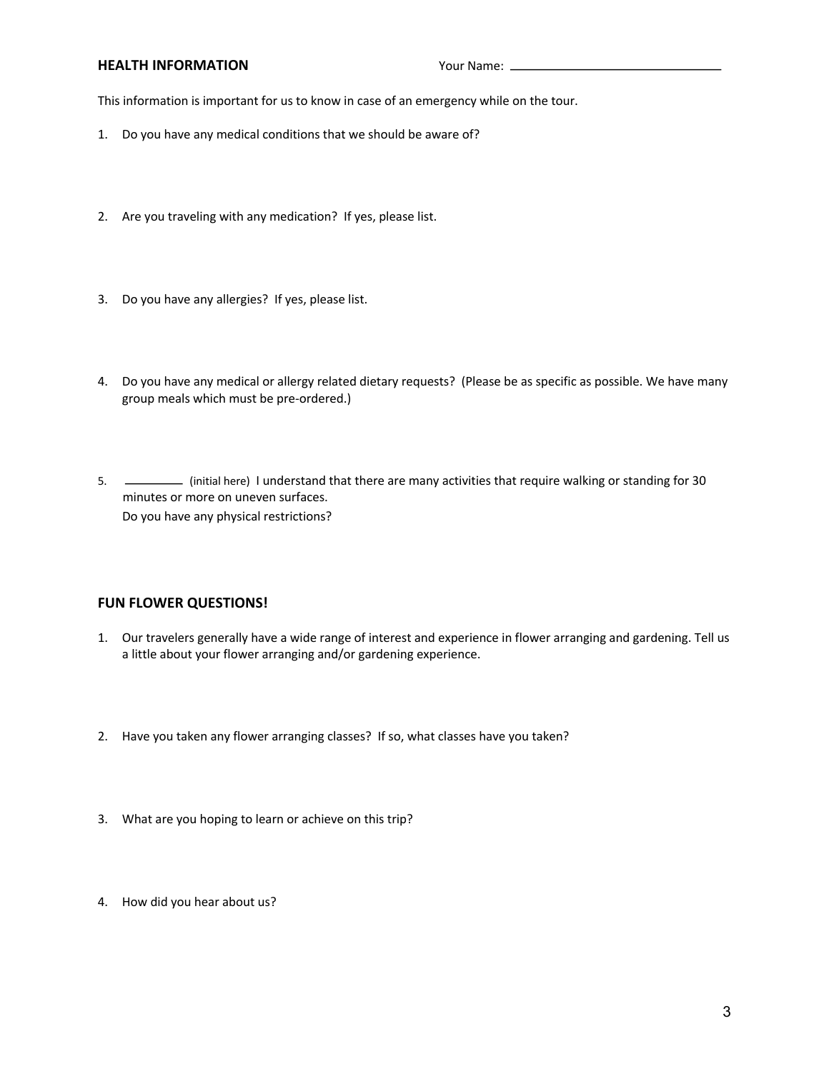#### **HEALTH INFORMATION** Your Name: <u>**\_**</u>

This information is important for us to know in case of an emergency while on the tour.

- 1. Do you have any medical conditions that we should be aware of?
- 2. Are you traveling with any medication? If yes, please list.
- 3. Do you have any allergies? If yes, please list.
- 4. Do you have any medical or allergy related dietary requests? (Please be as specific as possible. We have many group meals which must be pre-ordered.)
- 5. (initial here) I understand that there are many activities that require walking or standing for 30 minutes or more on uneven surfaces. Do you have any physical restrictions?

### **FUN FLOWER QUESTIONS!**

- 1. Our travelers generally have a wide range of interest and experience in flower arranging and gardening. Tell us a little about your flower arranging and/or gardening experience.
- 2. Have you taken any flower arranging classes? If so, what classes have you taken?
- 3. What are you hoping to learn or achieve on this trip?
- 4. How did you hear about us?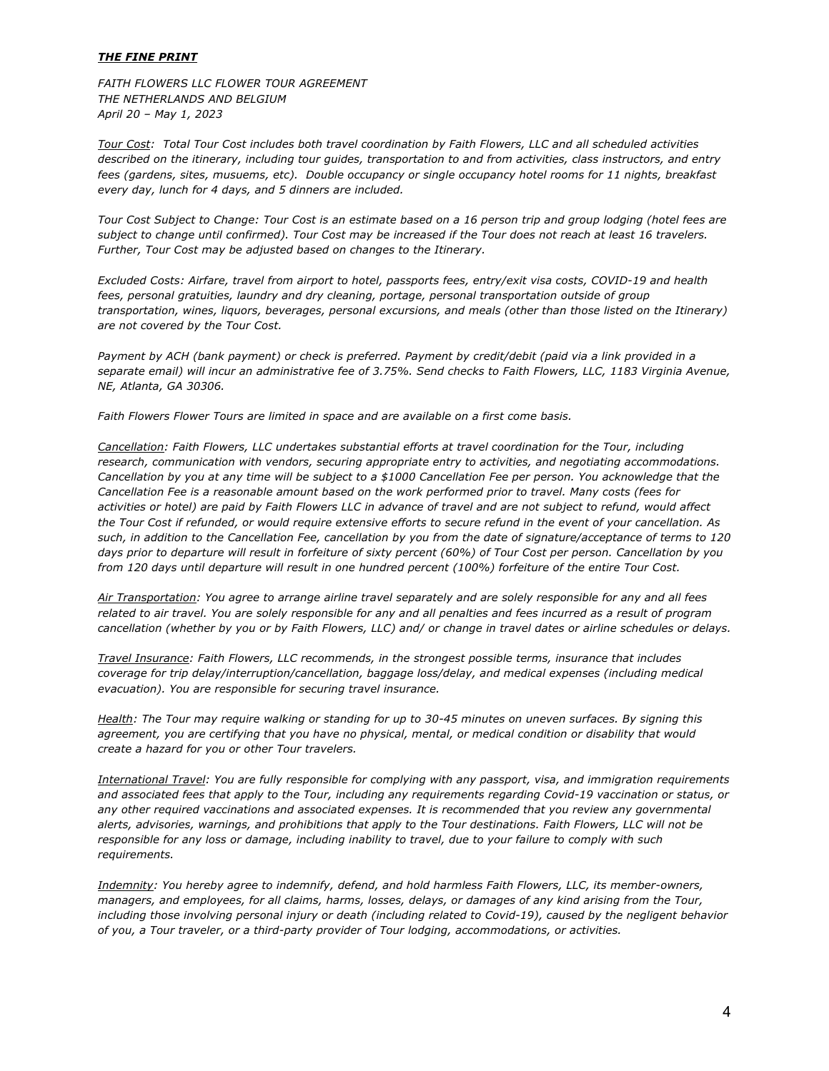#### *THE FINE PRINT*

*FAITH FLOWERS LLC FLOWER TOUR AGREEMENT THE NETHERLANDS AND BELGIUM April 20 – May 1, 2023*

*Tour Cost: Total Tour Cost includes both travel coordination by Faith Flowers, LLC and all scheduled activities described on the itinerary, including tour guides, transportation to and from activities, class instructors, and entry fees (gardens, sites, musuems, etc). Double occupancy or single occupancy hotel rooms for 11 nights, breakfast every day, lunch for 4 days, and 5 dinners are included.*

*Tour Cost Subject to Change: Tour Cost is an estimate based on a 16 person trip and group lodging (hotel fees are subject to change until confirmed). Tour Cost may be increased if the Tour does not reach at least 16 travelers. Further, Tour Cost may be adjusted based on changes to the Itinerary.* 

*Excluded Costs: Airfare, travel from airport to hotel, passports fees, entry/exit visa costs, COVID-19 and health fees, personal gratuities, laundry and dry cleaning, portage, personal transportation outside of group transportation, wines, liquors, beverages, personal excursions, and meals (other than those listed on the Itinerary) are not covered by the Tour Cost.* 

*Payment by ACH (bank payment) or check is preferred. Payment by credit/debit (paid via a link provided in a separate email) will incur an administrative fee of 3.75%. Send checks to Faith Flowers, LLC, 1183 Virginia Avenue, NE, Atlanta, GA 30306.* 

*Faith Flowers Flower Tours are limited in space and are available on a first come basis.* 

*Cancellation: Faith Flowers, LLC undertakes substantial efforts at travel coordination for the Tour, including research, communication with vendors, securing appropriate entry to activities, and negotiating accommodations. Cancellation by you at any time will be subject to a \$1000 Cancellation Fee per person. You acknowledge that the Cancellation Fee is a reasonable amount based on the work performed prior to travel. Many costs (fees for activities or hotel) are paid by Faith Flowers LLC in advance of travel and are not subject to refund, would affect the Tour Cost if refunded, or would require extensive efforts to secure refund in the event of your cancellation. As such, in addition to the Cancellation Fee, cancellation by you from the date of signature/acceptance of terms to 120 days prior to departure will result in forfeiture of sixty percent (60%) of Tour Cost per person. Cancellation by you from 120 days until departure will result in one hundred percent (100%) forfeiture of the entire Tour Cost.* 

*Air Transportation: You agree to arrange airline travel separately and are solely responsible for any and all fees related to air travel. You are solely responsible for any and all penalties and fees incurred as a result of program cancellation (whether by you or by Faith Flowers, LLC) and/ or change in travel dates or airline schedules or delays.* 

*Travel Insurance: Faith Flowers, LLC recommends, in the strongest possible terms, insurance that includes coverage for trip delay/interruption/cancellation, baggage loss/delay, and medical expenses (including medical evacuation). You are responsible for securing travel insurance.*

*Health: The Tour may require walking or standing for up to 30-45 minutes on uneven surfaces. By signing this agreement, you are certifying that you have no physical, mental, or medical condition or disability that would create a hazard for you or other Tour travelers.*

*International Travel: You are fully responsible for complying with any passport, visa, and immigration requirements and associated fees that apply to the Tour, including any requirements regarding Covid-19 vaccination or status, or any other required vaccinations and associated expenses. It is recommended that you review any governmental alerts, advisories, warnings, and prohibitions that apply to the Tour destinations. Faith Flowers, LLC will not be responsible for any loss or damage, including inability to travel, due to your failure to comply with such requirements.* 

*Indemnity: You hereby agree to indemnify, defend, and hold harmless Faith Flowers, LLC, its member-owners, managers, and employees, for all claims, harms, losses, delays, or damages of any kind arising from the Tour,*  including those involving personal injury or death (including related to Covid-19), caused by the negligent behavior *of you, a Tour traveler, or a third-party provider of Tour lodging, accommodations, or activities.*